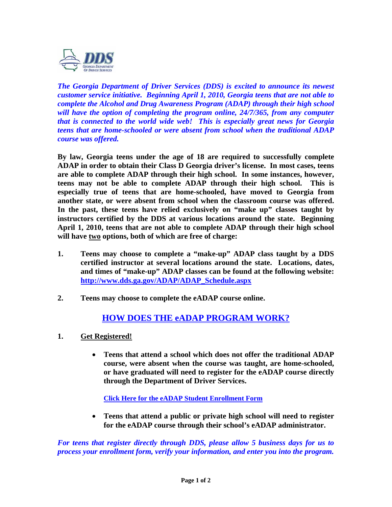

*The Georgia Department of Driver Services (DDS) is excited to announce its newest customer service initiative. Beginning April 1, 2010, Georgia teens that are not able to complete the Alcohol and Drug Awareness Program (ADAP) through their high school will have the option of completing the program online, 24/7/365, from any computer that is connected to the world wide web! This is especially great news for Georgia teens that are home-schooled or were absent from school when the traditional ADAP course was offered.* 

**By law, Georgia teens under the age of 18 are required to successfully complete ADAP in order to obtain their Class D Georgia driver's license. In most cases, teens are able to complete ADAP through their high school. In some instances, however, teens may not be able to complete ADAP through their high school. This is especially true of teens that are home-schooled, have moved to Georgia from another state, or were absent from school when the classroom course was offered. In the past, these teens have relied exclusively on "make up" classes taught by instructors certified by the DDS at various locations around the state. Beginning April 1, 2010, teens that are not able to complete ADAP through their high school will have two options, both of which are free of charge:** 

- **1. Teens may choose to complete a "make-up" ADAP class taught by a DDS certified instructor at several locations around the state. Locations, dates, and times of "make-up" ADAP classes can be found at the following website: [http://www.dds.ga.gov/ADAP/ADAP\\_Schedule.aspx](http://www.dds.ga.gov/ADAP/ADAP_Schedule.aspx)**
- **2. Teens may choose to complete the eADAP course online.**

## **HOW DOES THE eADAP PROGRAM WORK?**

- **1. Get Registered!**
	- **Teens that attend a school which does not offer the traditional ADAP course, were absent when the course was taught, are home-schooled, or have graduated will need to register for the eADAP course directly through the Department of Driver Services.**

**[Click Here for the eADAP Student Enrollment Form](https://online.dds.ga.gov/eADAP/pdf/Enrollment_Form_for_Home_School_Students.pdf)**

 **Teens that attend a public or private high school will need to register for the eADAP course through their school's eADAP administrator.** 

*For teens that register directly through DDS, please allow 5 business days for us to process your enrollment form, verify your information, and enter you into the program.*